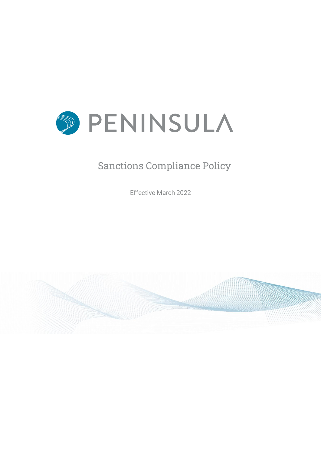

# Sanctions Compliance Policy

Effective March 2022

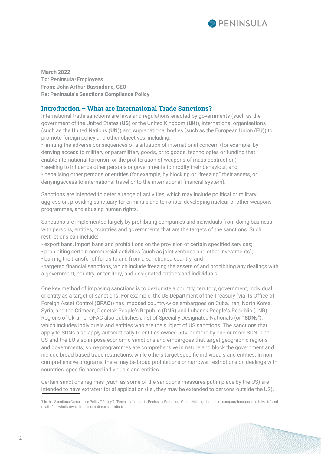

**March 2022 To: Peninsula** 1 **Employees From: John Arthur Bassadone, CEO Re: Peninsula's Sanctions Compliance Policy**

# **Introduction – What are International Trade Sanctions?**

International trade sanctions are laws and regulations enacted by governments (such as the government of the United States (**US**) or the United Kingdom (**UK**)), international organisations (such as the United Nations (**UN**)) and supranational bodies (such as the European Union (**EU**)) to promote foreign policy and other objectives, including:

• limiting the adverse consequences of a situation of international concern (for example, by denying access to military or paramilitary goods, or to goods, technologies or funding that enableinternational terrorism or the proliferation of weapons of mass destruction);

• seeking to influence other persons or governments to modify their behaviour; and

• penalising other persons or entities (for example, by blocking or "freezing" their assets, or denyingaccess to international travel or to the international financial system).

Sanctions are intended to deter a range of activities, which may include political or military aggression, providing sanctuary for criminals and terrorists, developing nuclear or other weapons programmes, and abusing human rights.

Sanctions are implemented largely by prohibiting companies and individuals from doing business with persons, entities, countries and governments that are the targets of the sanctions. Such restrictions can include:

• export bans, import bans and prohibitions on the provision of certain specified services;

- prohibiting certain commercial activities (such as joint ventures and other investments);
- barring the transfer of funds to and from a sanctioned country; and

• targeted financial sanctions, which include freezing the assets of and prohibiting any dealings with a government, country, or territory, and designated entities and individuals.

One key method of imposing sanctions is to designate a country, territory, government, individual or entity as a target of sanctions. For example, the US Department of the Treasury (via its Office of Foreign Asset Control (**OFAC**)) has imposed country-wide embargoes on Cuba, Iran, North Korea, Syria, and the Crimean, Donetsk People's Republic (DNR) and Luhansk People's Republic (LNR) Regions of Ukraine. OFAC also publishes a list of Specially Designated Nationals (or "**SDNs**"), which includes individuals and entities who are the subject of US sanctions. The sanctions that apply to SDNs also apply automatically to entities owned 50% or more by one or more SDN. The US and the EU also impose economic sanctions and embargoes that target geographic regions and governments; some programmes are comprehensive in nature and block the government and include broad-based trade restrictions, while others target specific individuals and entities. In noncomprehensive programs, there may be broad prohibitions or narrower restrictions on dealings with countries, specific named individuals and entities.

Certain sanctions regimes (such as some of the sanctions measures put in place by the US) are intended to have extraterritorial application (i.e., they may be extended to persons outside the US).

1 In this Sanctions Compliance Policy ("Policy"), "Peninsula" refers to Peninsula Petroleum Group Holdings Limited (a company incorporated in Malta) and to all of its wholly-owned direct or indirect subsidiaries.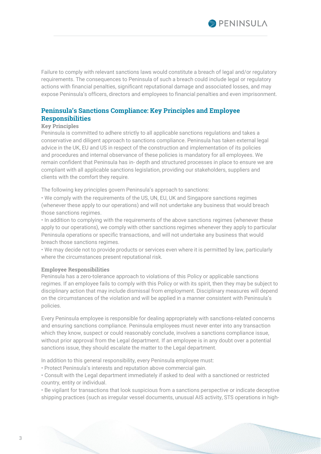

Failure to comply with relevant sanctions laws would constitute a breach of legal and/or regulatory requirements. The consequences to Peninsula of such a breach could include legal or regulatory actions with financial penalties, significant reputational damage and associated losses, and may expose Peninsula's officers, directors and employees to financial penalties and even imprisonment.

# **Peninsula's Sanctions Compliance: Key Principles and Employee Responsibilities**

#### **Key Principles**

Peninsula is committed to adhere strictly to all applicable sanctions regulations and takes a conservative and diligent approach to sanctions compliance. Peninsula has taken external legal advice in the UK, EU and US in respect of the construction and implementation of its policies and procedures and internal observance of these policies is mandatory for all employees. We remain confident that Peninsula has in- depth and structured processes in place to ensure we are compliant with all applicable sanctions legislation, providing our stakeholders, suppliers and clients with the comfort they require.

The following key principles govern Peninsula's approach to sanctions:

• We comply with the requirements of the US, UN, EU, UK and Singapore sanctions regimes (whenever these apply to our operations) and will not undertake any business that would breach those sanctions regimes.

• In addition to complying with the requirements of the above sanctions regimes (whenever these apply to our operations), we comply with other sanctions regimes whenever they apply to particular Peninsula operations or specific transactions, and will not undertake any business that would breach those sanctions regimes.

• We may decide not to provide products or services even where it is permitted by law, particularly where the circumstances present reputational risk.

#### **Employee Responsibilities**

Peninsula has a zero-tolerance approach to violations of this Policy or applicable sanctions regimes. If an employee fails to comply with this Policy or with its spirit, then they may be subject to disciplinary action that may include dismissal from employment. Disciplinary measures will depend on the circumstances of the violation and will be applied in a manner consistent with Peninsula's policies.

Every Peninsula employee is responsible for dealing appropriately with sanctions-related concerns and ensuring sanctions compliance. Peninsula employees must never enter into any transaction which they know, suspect or could reasonably conclude, involves a sanctions compliance issue, without prior approval from the Legal department. If an employee is in any doubt over a potential sanctions issue, they should escalate the matter to the Legal department.

In addition to this general responsibility, every Peninsula employee must:

• Protect Peninsula's interests and reputation above commercial gain.

• Consult with the Legal department immediately if asked to deal with a sanctioned or restricted country, entity or individual.

• Be vigilant for transactions that look suspicious from a sanctions perspective or indicate deceptive shipping practices (such as irregular vessel documents, unusual AIS activity, STS operations in high-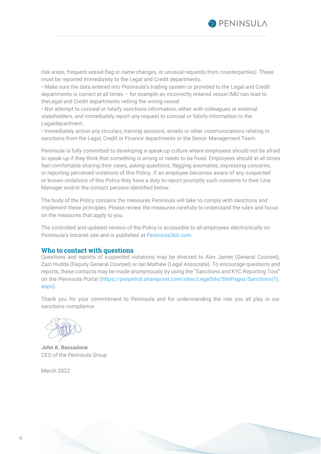

risk areas, frequent vessel flag or name changes, or unusual requests from counterparties). These must be reported immediately to the Legal and Credit departments.

• Make sure the data entered into Peninsula's trading system or provided to the Legal and Credit departments is correct at all times – for example an incorrectly entered vessel IMO can lead to theLegal and Credit departments vetting the wrong vessel.

• Not attempt to conceal or falsify sanctions information, either with colleagues or external stakeholders, and immediately report any request to conceal or falsify information to the Legaldepartment.

• Immediately action any circulars, training sessions, emails or other communications relating to sanctions from the Legal, Credit or Finance departments or the Senior Management Team.

Peninsula is fully committed to developing a speak-up culture where employees should not be afraid to speak-up if they think that something is wrong or needs to be fixed. Employees should at all times feel comfortable sharing their views, asking questions, flagging anomalies, expressing concerns, or reporting perceived violations of this Policy. If an employee becomes aware of any suspected or known violations of this Policy they have a duty to report promptly such concerns to their Line Manager and/or the contact persons identified below.

The body of the Policy contains the measures Peninsula will take to comply with sanctions and implement these principles. Please review the measures carefully to understand the rules and focus on the measures that apply to you.

The controlled and updated version of the Policy is accessible to all employees electronically on Peninsula's Intranet site and is published at [Peninsula360.com.](www.Peninsula360.com)

#### **Who to contact with questions**

Questions and reports of suspected violations may be directed to Alex Jamet (General Counsel), Zain Hudda (Deputy General Counsel) or Ian Mathew (Legal Associate). To encourage questions and reports, these contacts may be made anonymously by using the "Sanctions and KYC Reporting Tool" on the Peninsula Portal (https://penpetrol.sharepoint.com/sites/LegalSite/SitePages/Sanctions(1). aspx).

Thank you for your commitment to Peninsula and for understanding the role you all play in our sanctions compliance.

**John A. Bassadone** CEO of the Peninsula Group

March 2022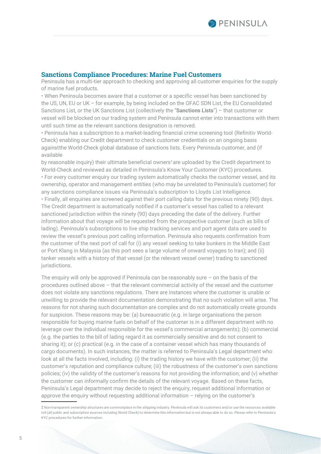

## **Sanctions Compliance Procedures: Marine Fuel Customers**

Peninsula has a multi-tier approach to checking and approving all customer enquiries for the supply of marine fuel products.

• When Peninsula becomes aware that a customer or a specific vessel has been sanctioned by the US, UN, EU or UK – for example, by being included on the OFAC SDN List, the EU Consolidated Sanctions List, or the UK Sanctions List (collectively the "**Sanctions Lists**") – that customer or vessel will be blocked on our trading system and Peninsula cannot enter into transactions with them until such time as the relevant sanctions designation is removed.

• Peninsula has a subscription to a market-leading financial crime screening tool (Refinitiv World-Check) enabling our Credit department to check customer credentials on an ongoing basis againstthe World-Check global database of sanctions lists. Every Peninsula customer, and (if available

by reasonable inquiry) their ultimate beneficial owners<sup>2</sup> are uploaded by the Credit department to World-Check and reviewed as detailed in Peninsula's Know Your Customer (KYC) procedures. • For every customer enquiry our trading system automatically checks the customer vessel, and its ownership, operator and management entities (who may be unrelated to Peninsula's customer) for

any sanctions compliance issues via Peninsula's subscription to Lloyds List Intelligence. • Finally, all enquiries are screened against their port calling data for the previous ninety (90) days. The Credit department is automatically notified if a customer's vessel has called to a relevant sanctioned jurisdiction within the ninety (90) days preceding the date of the delivery. Further information about that voyage will be requested from the prospective customer (such as bills of lading). Peninsula's subscriptions to live ship tracking services and port agent data are used to review the vessel's previous port calling information. Peninsula also requests confirmation from the customer of the next port of call for (i) any vessel seeking to take bunkers in the Middle East or Port Klang in Malaysia (as this port sees a large volume of onward voyages to Iran); and (ii) tanker vessels with a history of that vessel (or the relevant vessel owner) trading to sanctioned jurisdictions.

The enquiry will only be approved if Peninsula can be reasonably sure  $-$  on the basis of the procedures outlined above – that the relevant commercial activity of the vessel and the customer does not violate any sanctions regulations. There are instances where the customer is unable or unwilling to provide the relevant documentation demonstrating that no such violation will arise. The reasons for not sharing such documentation are complex and do not automatically create grounds for suspicion. These reasons may be: (a) bureaucratic (e.g. in large organisations the person responsible for buying marine fuels on behalf of the customer is in a different department with no leverage over the individual responsible for the vessel's commercial arrangements); (b) commercial (e.g. the parties to the bill of lading regard it as commercially sensitive and do not consent to sharing it); or (c) practical (e.g. in the case of a container vessel which has many thousands of cargo documents). In such instances, the matter is referred to Peninsula's Legal department who look at all the facts involved, including: (i) the trading history we have with the customer; (ii) the customer's reputation and compliance culture; (iii) the robustness of the customer's own sanctions policies; (iv) the validity of the customer's reasons for not providing the information; and (v) whether the customer can informally confirm the details of the relevant voyage. Based on these facts, Peninsula's Legal department may decide to reject the enquiry, request additional information or approve the enquiry without requesting additional information – relying on the customer's

<sup>2</sup> Non-transparent ownership structures are commonplace in the shipping industry. Peninsula will ask its customers and/or use the resources available toit (all public and subscription sources including World Check) to determine this information but is not always able to do so. Please refer to Peninsula's KYC procedures for further information.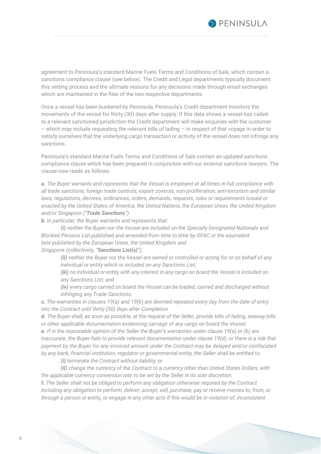

agreement to Peninsula's standard Marine Fuels Terms and Conditions of Sale, which contain a sanctions compliance clause (see below). The Credit and Legal departments typically document this vetting process and the ultimate reasons for any decisions made through email exchanges which are maintained in the files of the two respective departments.

Once a vessel has been bunkered by Peninsula, Peninsula's Credit department monitors the movements of the vessel for thirty (30) days after supply. If this data shows a vessel has called to a relevant sanctioned jurisdiction the Credit department will make enquiries with the customer – which may include requesting the relevant bills of lading – in respect of that voyage in order to satisfy ourselves that the underlying cargo transaction or activity of the vessel does not infringe any sanctions.

Peninsula's standard Marine Fuels Terms and Conditions of Sale contain an updated sanctions compliance clause which has been prepared in conjunction with our external sanctions lawyers. The clause now reads as follows:

*a. The Buyer warrants and represents that the Vessel is employed at all times in full compliance with all trade sanctions, foreign trade controls, export controls, non-proliferation, anti-terrorism and similar laws, regulations, decrees, ordinances, orders, demands, requests, rules or requirements issued or enacted by the United States of America, the United Nations, the European Union, the United Kingdom and/or Singapore ("Trade Sanctions").*

*b. In particular, the Buyer warrants and represents that:*

*(i) neither the Buyer nor the Vessel are included on the Specially Designated Nationals and Blocked Persons List published and amended from time to time by OFAC or the equivalent lists published by the European Union, the United Kingdom and Singapore (collectively, "Sanctions List(s)");*

(ii) neither the Buyer nor the Vessel are owned or controlled or acting for or on behalf of any *individual or entity which is included on any Sanctions List;*

*(iii) no individual or entity with any interest in any cargo on board the Vessel is included on any Sanctions List; and*

*(iv) every cargo carried on board the Vessel can be loaded, carried and discharged without infringing any Trade Sanctions.*

*c. The warranties in clauses 19(a) and 19(b) are deemed repeated every day from the date of entry into the Contract until thirty (30) days after Completion.*

d. The Buyer shall, as soon as possible, at the request of the Seller, provide bills of lading, seaway bills *or other applicable documentation evidencing carriage of any cargo on board the Vessel.*

*e. If in the reasonable opinion of the Seller the Buyer's warranties under clause 19(a) or (b) are inaccurate, the Buyer fails to provide relevant documentation under clause 19(d), or there is a risk that payment by the Buyer for any invoiced amount under the Contract may be delayed and/or confiscated by any bank, financial institution, regulator or governmental entity, the Seller shall be entitled to:*

*(i) terminate the Contract without liability; or*

*(ii) change the currency of the Contract to a currency other than United States Dollars, with the applicable currency conversion rate to be set by the Seller in its sole discretion.*

*f. The Seller shall not be obliged to perform any obligation otherwise required by the Contract including any obligation to perform, deliver, accept, sell, purchase, pay or receive monies to, from, or* through a person or entity, or engage in any other acts if this would be in violation of, inconsistent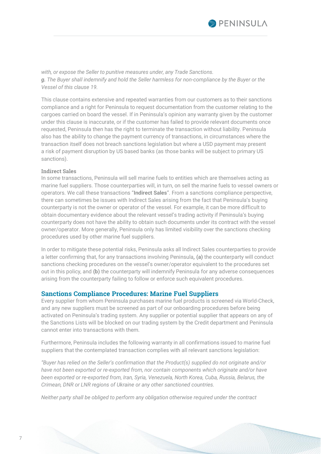

*with, or expose the Seller to punitive measures under, any Trade Sanctions. g. The Buyer shall indemnify and hold the Seller harmless for non-compliance by the Buyer or the Vessel of this clause 19.*

This clause contains extensive and repeated warranties from our customers as to their sanctions compliance and a right for Peninsula to request documentation from the customer relating to the cargoes carried on board the vessel. If in Peninsula's opinion any warranty given by the customer under this clause is inaccurate, or if the customer has failed to provide relevant documents once requested, Peninsula then has the right to terminate the transaction without liability. Peninsula also has the ability to change the payment currency of transactions, in circumstances where the transaction itself does not breach sanctions legislation but where a USD payment may present a risk of payment disruption by US based banks (as those banks will be subject to primary US sanctions).

#### **Indirect Sales**

In some transactions, Peninsula will sell marine fuels to entities which are themselves acting as marine fuel suppliers. Those counterparties will, in turn, on sell the marine fuels to vessel owners or operators. We call these transactions "**Indirect Sales**". From a sanctions compliance perspective, there can sometimes be issues with Indirect Sales arising from the fact that Peninsula's buying counterparty is not the owner or operator of the vessel. For example, it can be more difficult to obtain documentary evidence about the relevant vessel's trading activity if Peninsula's buying counterparty does not have the ability to obtain such documents under its contract with the vessel owner/operator. More generally, Peninsula only has limited visibility over the sanctions checking procedures used by other marine fuel suppliers.

In order to mitigate these potential risks, Peninsula asks all Indirect Sales counterparties to provide a letter confirming that, for any transactions involving Peninsula*,* **(a)** the counterparty will conduct sanctions checking procedures on the vessel's owner/operator equivalent to the procedures set out in this policy, and **(b)** the counterparty will indemnify Peninsula for any adverse consequences arising from the counterparty failing to follow or enforce such equivalent procedures.

#### **Sanctions Compliance Procedures: Marine Fuel Suppliers**

Every supplier from whom Peninsula purchases marine fuel products is screened via World-Check, and any new suppliers must be screened as part of our onboarding procedures before being activated on Peninsula's trading system. Any supplier or potential supplier that appears on any of the Sanctions Lists will be blocked on our trading system by the Credit department and Peninsula cannot enter into transactions with them.

Furthermore, Peninsula includes the following warranty in all confirmations issued to marine fuel suppliers that the contemplated transaction complies with all relevant sanctions legislation:

*"Buyer has relied on the Seller's confirmation that the Product(s) supplied do not originate and/or have not been exported or re-exported from, nor contain components which originate and/or have been exported or re-exported from, Iran, Syria, Venezuela, North Korea, Cuba, Russia, Belarus, the Crimean, DNR or LNR regions of Ukraine or any other sanctioned countries.*

*Neither party shall be obliged to perform any obligation otherwise required under the contract*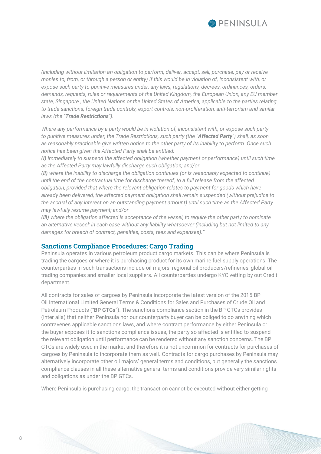

*(including without limitation an obligation to perform, deliver, accept, sell, purchase, pay or receive monies to, from, or through a person or entity) if this would be in violation of, inconsistent with, or expose such party to punitive measures under, any laws, regulations, decrees, ordinances, orders, demands, requests, rules or requirements of the United Kingdom, the European Union, any EU member state, Singapore , the United Nations or the United States of America, applicable to the parties relating to trade sanctions, foreign trade controls, export controls, non-proliferation, anti-terrorism and similar laws (the "Trade Restrictions").*

*Where any performance by a party would be in violation of, inconsistent with, or expose such party to punitive measures under, the Trade Restrictions, such party (the "Affected Party") shall, as soon as reasonably practicable give written notice to the other party of its inability to perform. Once such notice has been given the Affected Party shall be entitled:*

*(i) immediately to suspend the affected obligation (whether payment or performance) until such time as the Affected Party may lawfully discharge such obligation; and/or*

*(ii) where the inability to discharge the obligation continues (or is reasonably expected to continue) until the end of the contractual time for discharge thereof, to a full release from the affected obligation, provided that where the relevant obligation relates to payment for goods which have already been delivered, the affected payment obligation shall remain suspended (without prejudice to the accrual of any interest on an outstanding payment amount) until such time as the Affected Party may lawfully resume payment; and/or*

*(iii) where the obligation affected is acceptance of the vessel, to require the other party to nominate an alternative vessel; in each case without any liability whatsoever (including but not limited to any damages for breach of contract, penalties, costs, fees and expenses)."*

## **Sanctions Compliance Procedures: Cargo Trading**

Peninsula operates in various petroleum product cargo markets. This can be where Peninsula is trading the cargoes or where it is purchasing product for its own marine fuel supply operations. The counterparties in such transactions include oil majors, regional oil producers/refineries, global oil trading companies and smaller local suppliers. All counterparties undergo KYC vetting by out Credit department.

All contracts for sales of cargoes by Peninsula incorporate the latest version of the 2015 BP Oil International Limited General Terms & Conditions for Sales and Purchases of Crude Oil and Petroleum Products ("**BP GTCs**"). The sanctions compliance section in the BP GTCs provides (inter alia) that neither Peninsula nor our counterparty buyer can be obliged to do anything which contravenes applicable sanctions laws, and where contract performance by either Peninsula or the buyer exposes it to sanctions compliance issues, the party so affected is entitled to suspend the relevant obligation until performance can be rendered without any sanction concerns. The BP GTCs are widely used in the market and therefore it is not uncommon for contracts for purchases of cargoes by Peninsula to incorporate them as well. Contracts for cargo purchases by Peninsula may alternatively incorporate other oil majors' general terms and conditions, but generally the sanctions compliance clauses in all these alternative general terms and conditions provide very similar rights and obligations as under the BP GTCs.

Where Peninsula is purchasing cargo, the transaction cannot be executed without either getting